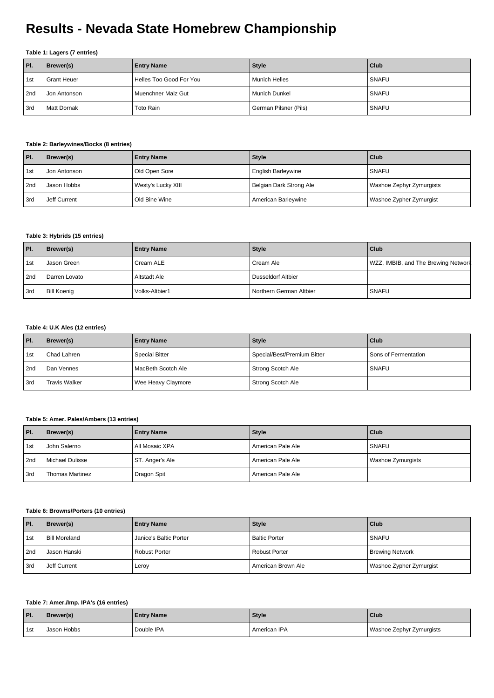# **Results - Nevada State Homebrew Championship**

## **Table 1: Lagers (7 entries)**

| PI.             | Brewer(s)          | <b>Entry Name</b>       | <b>Style</b>          | <b>Club</b>  |
|-----------------|--------------------|-------------------------|-----------------------|--------------|
| 1 <sub>st</sub> | <b>Grant Heuer</b> | Helles Too Good For You | l Munich Helles       | SNAFU        |
| 2nd             | Jon Antonson       | Muenchner Malz Gut      | l Munich Dunkel       | SNAFU        |
| 3rd             | Matt Dornak        | Toto Rain               | German Pilsner (Pils) | <b>SNAFU</b> |

#### **Table 2: Barleywines/Bocks (8 entries)**

| PI.              | Brewer(s)    | <b>Entry Name</b>  | <b>Style</b>              | l Club                   |
|------------------|--------------|--------------------|---------------------------|--------------------------|
| 1st              | Jon Antonson | Old Open Sore      | <b>English Barleywine</b> | SNAFU                    |
| 2nd              | Jason Hobbs  | Westy's Lucky XIII | Belgian Dark Strong Ale   | Washoe Zephyr Zymurgists |
| <sup>1</sup> 3rd | Jeff Current | Old Bine Wine      | American Barleywine       | Washoe Zypher Zymurgist  |

## **Table 3: Hybrids (15 entries)**

| PI.             | Brewer(s)          | <b>Entry Name</b> | <b>Style</b>            | l Club                              |
|-----------------|--------------------|-------------------|-------------------------|-------------------------------------|
| 1 <sub>st</sub> | Jason Green        | Cream ALE         | Cream Ale               | WZZ, IMBIB, and The Brewing Network |
| 2nd             | Darren Lovato      | Altstadt Ale      | Dusseldorf Altbier      |                                     |
| l 3rd           | <b>Bill Koenig</b> | Volks-Altbier1    | Northern German Altbier | <b>SNAFU</b>                        |

#### **Table 4: U.K Ales (12 entries)**

| PI.   | Brewer(s)     | <b>Entry Name</b>     | <b>Style</b>                | <b>Club</b>            |
|-------|---------------|-----------------------|-----------------------------|------------------------|
| 1st   | Chad Lahren   | <b>Special Bitter</b> | Special/Best/Premium Bitter | l Sons of Fermentation |
| l 2nd | Dan Vennes    | MacBeth Scotch Ale    | Strong Scotch Ale           | SNAFU                  |
| l 3rd | Travis Walker | Wee Heavy Claymore    | Strong Scotch Ale           |                        |

### **Table 5: Amer. Pales/Ambers (13 entries)**

| I PI. | Brewer(s)              | <b>Entry Name</b> | <b>Style</b>      | <b>Club</b>       |
|-------|------------------------|-------------------|-------------------|-------------------|
| 1st   | John Salerno           | All Mosaic XPA    | American Pale Ale | <b>SNAFU</b>      |
| 2nd   | Michael Dulisse        | ST. Anger's Ale   | American Pale Ale | Washoe Zymurgists |
| Srd   | <b>Thomas Martinez</b> | Dragon Spit       | American Pale Ale |                   |

### **Table 6: Browns/Porters (10 entries)**

| PI.   | Brewer(s)            | <b>Entry Name</b>      | <b>Style</b>         | Club                    |
|-------|----------------------|------------------------|----------------------|-------------------------|
| 1st   | <b>Bill Moreland</b> | Janice's Baltic Porter | <b>Baltic Porter</b> | SNAFU                   |
| 2nd   | Jason Hanski         | <b>Robust Porter</b>   | Robust Porter        | <b>Brewing Network</b>  |
| l 3rd | Jeff Current         | Leroy                  | l American Brown Ale | Washoe Zypher Zymurgist |

## **Table 7: Amer./Imp. IPA's (16 entries)**

| PI.   | Brewer(s)   | <b>Entry Name</b> | <b>Style</b> | Club                     |
|-------|-------------|-------------------|--------------|--------------------------|
| l 1st | Jason Hobbs | Double IPA        | American IPA | Washoe Zephyr Zymurgists |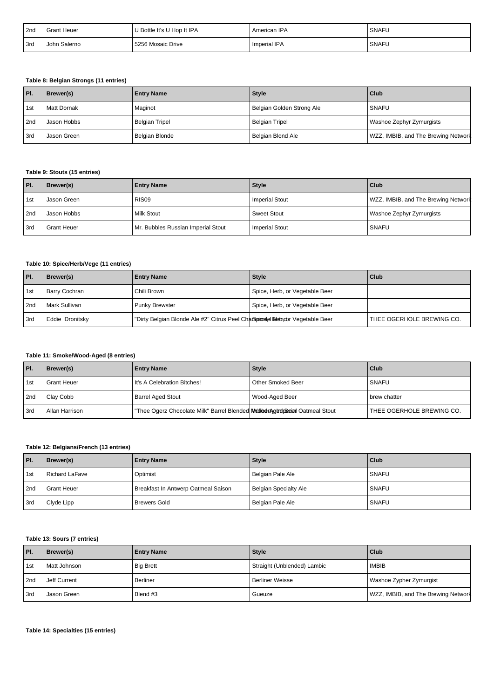| 2nd | <b>Grant Heuer</b> | U Bottle It's U Hop It IPA | American IPA | SNAFU |
|-----|--------------------|----------------------------|--------------|-------|
| Srd | John Salerno       | 5256 Mosaic Drive          | Imperial IPA | SNAFL |

## **Table 8: Belgian Strongs (11 entries)**

| PI.              | Brewer(s)   | <b>Entry Name</b> | <b>Style</b>              | <b>Club</b>                         |
|------------------|-------------|-------------------|---------------------------|-------------------------------------|
| 1 <sub>st</sub>  | Matt Dornak | Maginot           | Belgian Golden Strong Ale | SNAFU                               |
| l 2nd            | Jason Hobbs | Belgian Tripel    | <b>Belgian Tripel</b>     | Washoe Zephyr Zymurgists            |
| <sup>1</sup> 3rd | Jason Green | Belgian Blonde    | Belgian Blond Ale         | WZZ, IMBIB, and The Brewing Network |

#### **Table 9: Stouts (15 entries)**

| PI. | Brewer(s)          | <b>Entry Name</b>                  | <b>Style</b>          | l Club                              |
|-----|--------------------|------------------------------------|-----------------------|-------------------------------------|
| 1st | Jason Green        | RIS <sub>09</sub>                  | <b>Imperial Stout</b> | WZZ, IMBIB, and The Brewing Network |
| 2nd | Jason Hobbs        | <b>Milk Stout</b>                  | <b>Sweet Stout</b>    | Washoe Zephyr Zymurgists            |
| Srd | <b>Grant Heuer</b> | Mr. Bubbles Russian Imperial Stout | <b>Imperial Stout</b> | SNAFU                               |

## **Table 10: Spice/Herb/Vege (11 entries)**

| PI.   | Brewer(s)       | <b>Entry Name</b>                                                               | <b>Style</b>                   | l Club                    |
|-------|-----------------|---------------------------------------------------------------------------------|--------------------------------|---------------------------|
| l 1st | Barry Cochran   | Chili Brown                                                                     | Spice, Herb, or Vegetable Beer |                           |
| l 2nd | Mark Sullivan   | Punky Brewster                                                                  | Spice, Herb, or Vegetable Beer |                           |
| Srd   | Eddie Dronitsky | "Dirty Belgian Blonde Ale #2" Citrus Peel Chat Spitre is History Vegetable Beer |                                | THEE OGERHOLE BREWING CO. |

## **Table 11: Smoke/Wood-Aged (8 entries)**

| PI.   | Brewer(s)          | <b>Entry Name</b>                                                              | <b>Style</b>      | l Club                    |
|-------|--------------------|--------------------------------------------------------------------------------|-------------------|---------------------------|
| 1st   | <b>Grant Heuer</b> | It's A Celebration Bitches!                                                    | Other Smoked Beer | SNAFU                     |
| 2nd   | Clay Cobb          | <b>Barrel Aged Stout</b>                                                       | Wood-Aged Beer    | brew chatter              |
| l 3rd | Allan Harrison     | "Thee Ogerz Chocolate Milk" Barrel Blended Mudiod rAged position Catmeal Stout |                   | THEE OGERHOLE BREWING CO. |

## **Table 12: Belgians/French (13 entries)**

| PI.             | Brewer(s)          | <b>Entry Name</b>                   | <b>Style</b>          | Club         |
|-----------------|--------------------|-------------------------------------|-----------------------|--------------|
| 1 <sub>st</sub> | Richard LaFave     | Optimist                            | Belgian Pale Ale      | <b>SNAFU</b> |
| l 2nd           | <b>Grant Heuer</b> | Breakfast In Antwerp Oatmeal Saison | Belgian Specialty Ale | <b>SNAFU</b> |
| l 3rd           | Clyde Lipp         | <b>Brewers Gold</b>                 | Belgian Pale Ale      | SNAFU        |

## **Table 13: Sours (7 entries)**

| PI.   | Brewer(s)    | <b>Entry Name</b> | <b>Style</b>                | Club                                |
|-------|--------------|-------------------|-----------------------------|-------------------------------------|
| 1st   | Matt Johnson | <b>Big Brett</b>  | Straight (Unblended) Lambic | <b>IMBIB</b>                        |
| 2nd   | Jeff Current | <b>Berliner</b>   | Berliner Weisse             | Washoe Zypher Zymurgist             |
| l 3rd | Jason Green  | Blend #3          | Gueuze                      | WZZ, IMBIB, and The Brewing Network |